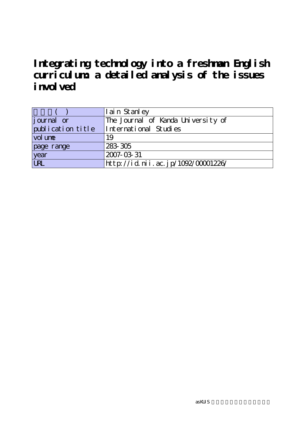**Integrating technology into a freshman English curriculum: a detailed analysis of the issues i** mvolved

|                    | I ain St anl ey                    |
|--------------------|------------------------------------|
| <i>j</i> ournal or | The Journal of Kanda University of |
| publication title  | International Studies              |
| vol une            | 19                                 |
| page range         | 283 305                            |
| year               | 2007-03-31                         |
| URL                | http://id.nii.ac.jp/1092/00001226/ |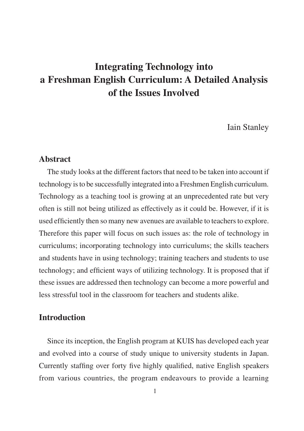Iain Stanley

### **Abstract**

The study looks at the different factors that need to be taken into account if technology is to be successfully integrated into a Freshmen English curriculum. Technology as a teaching tool is growing at an unprecedented rate but very often is still not being utilized as effectively as it could be. However, if it is used efficiently then so many new avenues are available to teachers to explore. Therefore this paper will focus on such issues as: the role of technology in curriculums; incorporating technology into curriculums; the skills teachers and students have in using technology; training teachers and students to use technology; and efficient ways of utilizing technology. It is proposed that if these issues are addressed then technology can become a more powerful and less stressful tool in the classroom for teachers and students alike.

# **Introduction**

Since its inception, the English program at KUIS has developed each year and evolved into a course of study unique to university students in Japan. Currently staffing over forty five highly qualified, native English speakers from various countries, the program endeavours to provide a learning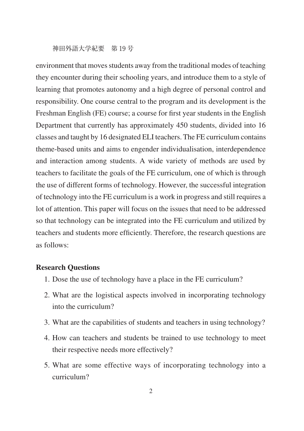environment that moves students away from the traditional modes of teaching they encounter during their schooling years, and introduce them to a style of learning that promotes autonomy and a high degree of personal control and responsibility. One course central to the program and its development is the Freshman English (FE) course; a course for first year students in the English Department that currently has approximately 450 students, divided into 16 classes and taught by 16 designated ELI teachers. The FE curriculum contains theme-based units and aims to engender individualisation, interdependence and interaction among students. A wide variety of methods are used by teachers to facilitate the goals of the FE curriculum, one of which is through the use of different forms of technology. However, the successful integration of technology into the FE curriculum is a work in progress and still requires a lot of attention. This paper will focus on the issues that need to be addressed so that technology can be integrated into the FE curriculum and utilized by teachers and students more efficiently. Therefore, the research questions are as follows:

#### **Research Questions**

- 1. Dose the use of technology have a place in the FE curriculum?
- 2. What are the logistical aspects involved in incorporating technology into the curriculum?
- 3. What are the capabilities of students and teachers in using technology?
- 4. How can teachers and students be trained to use technology to meet their respective needs more effectively?
- 5. What are some effective ways of incorporating technology into a curriculum?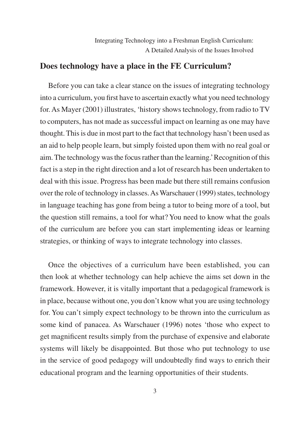# **Does technology have a place in the FE Curriculum?**

Before you can take a clear stance on the issues of integrating technology into a curriculum, you first have to ascertain exactly what you need technology for. As Mayer (2001) illustrates, 'history shows technology, from radio to TV to computers, has not made as successful impact on learning as one may have thought. This is due in most part to the fact that technology hasn't been used as an aid to help people learn, but simply foisted upon them with no real goal or aim. The technology was the focus rather than the learning.' Recognition of this fact is a step in the right direction and a lot of research has been undertaken to deal with this issue. Progress has been made but there still remains confusion over the role of technology in classes. As Warschauer (1999) states, technology in language teaching has gone from being a tutor to being more of a tool, but the question still remains, a tool for what? You need to know what the goals of the curriculum are before you can start implementing ideas or learning strategies, or thinking of ways to integrate technology into classes.

Once the objectives of a curriculum have been established, you can then look at whether technology can help achieve the aims set down in the framework. However, it is vitally important that a pedagogical framework is in place, because without one, you don't know what you are using technology for. You can't simply expect technology to be thrown into the curriculum as some kind of panacea. As Warschauer (1996) notes 'those who expect to get magnificent results simply from the purchase of expensive and elaborate systems will likely be disappointed. But those who put technology to use in the service of good pedagogy will undoubtedly find ways to enrich their educational program and the learning opportunities of their students.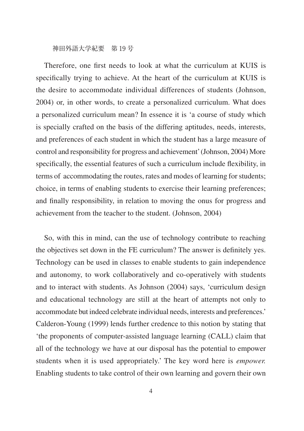Therefore, one first needs to look at what the curriculum at KUIS is specifically trying to achieve. At the heart of the curriculum at KUIS is the desire to accommodate individual differences of students (Johnson, 2004) or, in other words, to create a personalized curriculum. What does a personalized curriculum mean? In essence it is 'a course of study which is specially crafted on the basis of the differing aptitudes, needs, interests, and preferences of each student in which the student has a large measure of control and responsibility for progress and achievement' (Johnson, 2004) More specifically, the essential features of such a curriculum include flexibility, in terms of accommodating the routes, rates and modes of learning for students; choice, in terms of enabling students to exercise their learning preferences; and finally responsibility, in relation to moving the onus for progress and achievement from the teacher to the student. (Johnson, 2004)

So, with this in mind, can the use of technology contribute to reaching the objectives set down in the FE curriculum? The answer is definitely yes. Technology can be used in classes to enable students to gain independence and autonomy, to work collaboratively and co-operatively with students and to interact with students. As Johnson (2004) says, 'curriculum design and educational technology are still at the heart of attempts not only to accommodate but indeed celebrate individual needs, interests and preferences.' Calderon-Young (1999) lends further credence to this notion by stating that 'the proponents of computer-assisted language learning (CALL) claim that all of the technology we have at our disposal has the potential to empower students when it is used appropriately.' The key word here is *empower.*  Enabling students to take control of their own learning and govern their own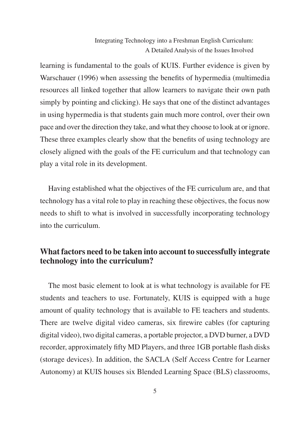learning is fundamental to the goals of KUIS. Further evidence is given by Warschauer (1996) when assessing the benefits of hypermedia (multimedia resources all linked together that allow learners to navigate their own path simply by pointing and clicking). He says that one of the distinct advantages in using hypermedia is that students gain much more control, over their own pace and over the direction they take, and what they choose to look at or ignore. These three examples clearly show that the benefits of using technology are closely aligned with the goals of the FE curriculum and that technology can play a vital role in its development.

Having established what the objectives of the FE curriculum are, and that technology has a vital role to play in reaching these objectives, the focus now needs to shift to what is involved in successfully incorporating technology into the curriculum.

# **What factors need to be taken into account to successfully integrate technology into the curriculum?**

The most basic element to look at is what technology is available for FE students and teachers to use. Fortunately, KUIS is equipped with a huge amount of quality technology that is available to FE teachers and students. There are twelve digital video cameras, six firewire cables (for capturing digital video), two digital cameras, a portable projector, a DVD burner, a DVD recorder, approximately fifty MD Players, and three 1GB portable flash disks (storage devices). In addition, the SACLA (Self Access Centre for Learner Autonomy) at KUIS houses six Blended Learning Space (BLS) classrooms,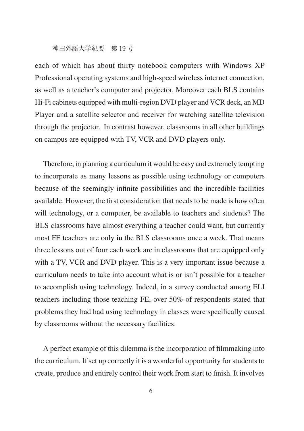each of which has about thirty notebook computers with Windows XP Professional operating systems and high-speed wireless internet connection, as well as a teacher's computer and projector. Moreover each BLS contains Hi-Fi cabinets equipped with multi-region DVD player and VCR deck, an MD Player and a satellite selector and receiver for watching satellite television through the projector. In contrast however, classrooms in all other buildings on campus are equipped with TV, VCR and DVD players only.

Therefore, in planning a curriculum it would be easy and extremely tempting to incorporate as many lessons as possible using technology or computers because of the seemingly infinite possibilities and the incredible facilities available. However, the first consideration that needs to be made is how often will technology, or a computer, be available to teachers and students? The BLS classrooms have almost everything a teacher could want, but currently most FE teachers are only in the BLS classrooms once a week. That means three lessons out of four each week are in classrooms that are equipped only with a TV, VCR and DVD player. This is a very important issue because a curriculum needs to take into account what is or isn't possible for a teacher to accomplish using technology. Indeed, in a survey conducted among ELI teachers including those teaching FE, over 50% of respondents stated that problems they had had using technology in classes were specifically caused by classrooms without the necessary facilities.

A perfect example of this dilemma is the incorporation of filmmaking into the curriculum. If set up correctly it is a wonderful opportunity for students to create, produce and entirely control their work from start to finish. It involves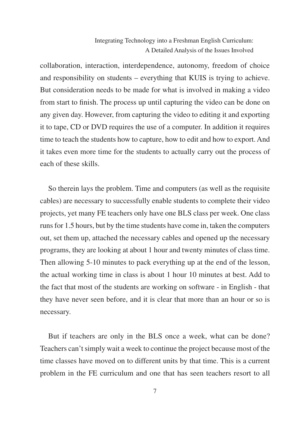collaboration, interaction, interdependence, autonomy, freedom of choice and responsibility on students – everything that KUIS is trying to achieve. But consideration needs to be made for what is involved in making a video from start to finish. The process up until capturing the video can be done on any given day. However, from capturing the video to editing it and exporting it to tape, CD or DVD requires the use of a computer. In addition it requires time to teach the students how to capture, how to edit and how to export. And it takes even more time for the students to actually carry out the process of each of these skills.

So therein lays the problem. Time and computers (as well as the requisite cables) are necessary to successfully enable students to complete their video projects, yet many FE teachers only have one BLS class per week. One class runs for 1.5 hours, but by the time students have come in, taken the computers out, set them up, attached the necessary cables and opened up the necessary programs, they are looking at about 1 hour and twenty minutes of class time. Then allowing 5-10 minutes to pack everything up at the end of the lesson, the actual working time in class is about 1 hour 10 minutes at best. Add to the fact that most of the students are working on software - in English - that they have never seen before, and it is clear that more than an hour or so is necessary.

But if teachers are only in the BLS once a week, what can be done? Teachers can't simply wait a week to continue the project because most of the time classes have moved on to different units by that time. This is a current problem in the FE curriculum and one that has seen teachers resort to all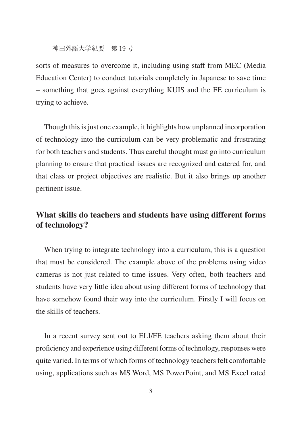sorts of measures to overcome it, including using staff from MEC (Media Education Center) to conduct tutorials completely in Japanese to save time – something that goes against everything KUIS and the FE curriculum is trying to achieve.

Though this is just one example, it highlights how unplanned incorporation of technology into the curriculum can be very problematic and frustrating for both teachers and students. Thus careful thought must go into curriculum planning to ensure that practical issues are recognized and catered for, and that class or project objectives are realistic. But it also brings up another pertinent issue.

# **What skills do teachers and students have using different forms of technology?**

When trying to integrate technology into a curriculum, this is a question that must be considered. The example above of the problems using video cameras is not just related to time issues. Very often, both teachers and students have very little idea about using different forms of technology that have somehow found their way into the curriculum. Firstly I will focus on the skills of teachers.

In a recent survey sent out to ELI/FE teachers asking them about their proficiency and experience using different forms of technology, responses were quite varied. In terms of which forms of technology teachers felt comfortable using, applications such as MS Word, MS PowerPoint, and MS Excel rated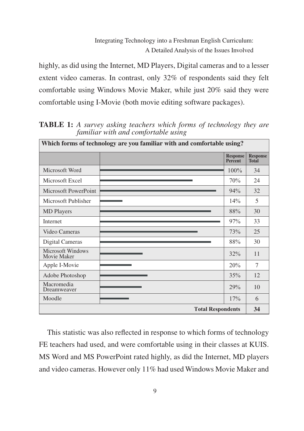highly, as did using the Internet, MD Players, Digital cameras and to a lesser extent video cameras. In contrast, only 32% of respondents said they felt comfortable using Windows Movie Maker, while just 20% said they were comfortable using I-Movie (both movie editing software packages).

| Which forms of technology are you familiar with and comfortable using? |                                   |                                 |
|------------------------------------------------------------------------|-----------------------------------|---------------------------------|
|                                                                        | <b>Response</b><br><b>Percent</b> | <b>Response</b><br><b>Total</b> |
| Microsoft Word                                                         | 100%                              | 34                              |
| Microsoft Excel                                                        | 70%                               | 24                              |
| Microsoft PowerPoint                                                   | 94%                               | 32                              |
| Microsoft Publisher                                                    | 14%                               | 5                               |
| <b>MD</b> Players                                                      | 88%                               | 30                              |
| Internet                                                               | 97%                               | 33                              |
| Video Cameras                                                          | 73%                               | 25                              |
| Digital Cameras                                                        | 88%                               | 30                              |
| <b>Microsoft Windows</b><br>Movie Maker                                | 32%                               | 11                              |
| Apple I-Movie                                                          | 20%                               | 7                               |
| Adobe Photoshop                                                        | 35%                               | 12                              |
| Macromedia<br>Dreamweaver                                              | 29%                               | 10                              |
| Moodle                                                                 | 17%                               | 6                               |
| <b>Total Respondents</b>                                               |                                   | 34                              |

**TABLE 1:** *A survey asking teachers which forms of technology they are familiar with and comfortable using*

This statistic was also reflected in response to which forms of technology FE teachers had used, and were comfortable using in their classes at KUIS. MS Word and MS PowerPoint rated highly, as did the Internet, MD players and video cameras. However only 11% had used Windows Movie Maker and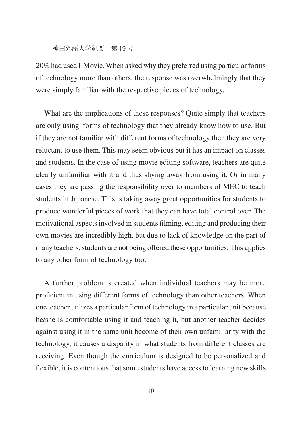20% had used I-Movie. When asked why they preferred using particular forms of technology more than others, the response was overwhelmingly that they were simply familiar with the respective pieces of technology.

What are the implications of these responses? Quite simply that teachers are only using forms of technology that they already know how to use. But if they are not familiar with different forms of technology then they are very reluctant to use them. This may seem obvious but it has an impact on classes and students. In the case of using movie editing software, teachers are quite clearly unfamiliar with it and thus shying away from using it. Or in many cases they are passing the responsibility over to members of MEC to teach students in Japanese. This is taking away great opportunities for students to produce wonderful pieces of work that they can have total control over. The motivational aspects involved in students filming, editing and producing their own movies are incredibly high, but due to lack of knowledge on the part of many teachers, students are not being offered these opportunities. This applies to any other form of technology too.

A further problem is created when individual teachers may be more proficient in using different forms of technology than other teachers. When one teacher utilizes a particular form of technology in a particular unit because he/she is comfortable using it and teaching it, but another teacher decides against using it in the same unit become of their own unfamiliarity with the technology, it causes a disparity in what students from different classes are receiving. Even though the curriculum is designed to be personalized and flexible, it is contentious that some students have access to learning new skills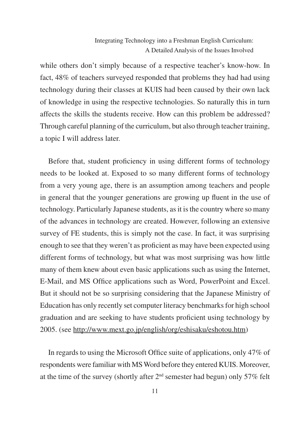while others don't simply because of a respective teacher's know-how. In fact, 48% of teachers surveyed responded that problems they had had using technology during their classes at KUIS had been caused by their own lack of knowledge in using the respective technologies. So naturally this in turn affects the skills the students receive. How can this problem be addressed? Through careful planning of the curriculum, but also through teacher training, a topic I will address later.

Before that, student proficiency in using different forms of technology needs to be looked at. Exposed to so many different forms of technology from a very young age, there is an assumption among teachers and people in general that the younger generations are growing up fluent in the use of technology. Particularly Japanese students, as it is the country where so many of the advances in technology are created. However, following an extensive survey of FE students, this is simply not the case. In fact, it was surprising enough to see that they weren't as proficient as may have been expected using different forms of technology, but what was most surprising was how little many of them knew about even basic applications such as using the Internet, E-Mail, and MS Office applications such as Word, PowerPoint and Excel. But it should not be so surprising considering that the Japanese Ministry of Education has only recently set computer literacy benchmarks for high school graduation and are seeking to have students proficient using technology by 2005. (see http://www.mext.go.jp/english/org/eshisaku/eshotou.htm)

In regards to using the Microsoft Office suite of applications, only 47% of respondents were familiar with MS Word before they entered KUIS. Moreover, at the time of the survey (shortly after  $2<sup>nd</sup>$  semester had begun) only 57% felt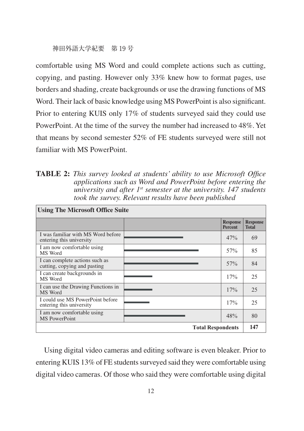comfortable using MS Word and could complete actions such as cutting, copying, and pasting. However only 33% knew how to format pages, use borders and shading, create backgrounds or use the drawing functions of MS Word. Their lack of basic knowledge using MS PowerPoint is also significant. Prior to entering KUIS only 17% of students surveyed said they could use PowerPoint. At the time of the survey the number had increased to 48%. Yet that means by second semester 52% of FE students surveyed were still not familiar with MS PowerPoint.

**TABLE 2:** *This survey looked at students' ability to use Microsoft Office applications such as Word and PowerPoint before entering the university and after 1st semester at the university. 147 students took the survey. Relevant results have been published*

| <b>Using The Microsoft Office Suite</b>                        |  |                                   |                                 |  |
|----------------------------------------------------------------|--|-----------------------------------|---------------------------------|--|
|                                                                |  | <b>Response</b><br><b>Percent</b> | <b>Response</b><br><b>Total</b> |  |
| I was familiar with MS Word before<br>entering this university |  | 47%                               | 69                              |  |
| I am now comfortable using<br>MS Word                          |  | 57%                               | 85                              |  |
| I can complete actions such as<br>cutting, copying and pasting |  | 57%                               | 84                              |  |
| I can create backgrounds in<br>MS Word                         |  | 17%                               | 25                              |  |
| I can use the Drawing Functions in<br>MS Word                  |  | 17%                               | 25                              |  |
| I could use MS PowerPoint before<br>entering this university   |  | 17%                               | 25                              |  |
| I am now comfortable using<br><b>MS</b> PowerPoint             |  | 48%                               | 80                              |  |
| <b>Total Respondents</b>                                       |  | 147                               |                                 |  |

Using digital video cameras and editing software is even bleaker. Prior to entering KUIS 13% of FE students surveyed said they were comfortable using digital video cameras. Of those who said they were comfortable using digital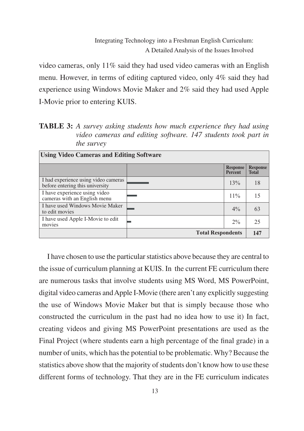video cameras, only 11% said they had used video cameras with an English menu. However, in terms of editing captured video, only 4% said they had experience using Windows Movie Maker and 2% said they had used Apple I-Movie prior to entering KUIS.

**TABLE 3:** *A survey asking students how much experience they had using video cameras and editing software. 147 students took part in the survey*

| <b>Using Video Cameras and Editing Software</b>                         |                          |                                   |                                 |  |  |
|-------------------------------------------------------------------------|--------------------------|-----------------------------------|---------------------------------|--|--|
|                                                                         |                          | <b>Response</b><br><b>Percent</b> | <b>Response</b><br><b>Total</b> |  |  |
| I had experience using video cameras<br>before entering this university |                          | 13%                               | 18                              |  |  |
| I have experience using video<br>cameras with an English menu           |                          | $11\%$                            | 15                              |  |  |
| I have used Windows Movie Maker<br>to edit movies                       |                          | $4\%$                             | 63                              |  |  |
| I have used Apple I-Movie to edit<br>movies                             |                          | $2\%$                             | 25                              |  |  |
|                                                                         | <b>Total Respondents</b> |                                   | 147                             |  |  |

I have chosen to use the particular statistics above because they are central to the issue of curriculum planning at KUIS. In the current FE curriculum there are numerous tasks that involve students using MS Word, MS PowerPoint, digital video cameras and Apple I-Movie (there aren't any explicitly suggesting the use of Windows Movie Maker but that is simply because those who constructed the curriculum in the past had no idea how to use it) In fact, creating videos and giving MS PowerPoint presentations are used as the Final Project (where students earn a high percentage of the final grade) in a number of units, which has the potential to be problematic. Why? Because the statistics above show that the majority of students don't know how to use these different forms of technology. That they are in the FE curriculum indicates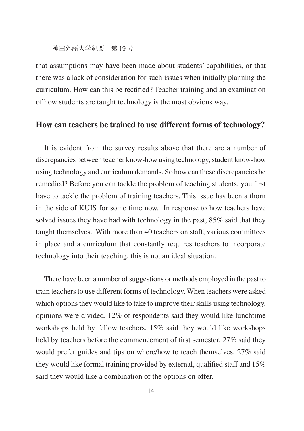that assumptions may have been made about students' capabilities, or that there was a lack of consideration for such issues when initially planning the curriculum. How can this be rectified? Teacher training and an examination of how students are taught technology is the most obvious way.

## **How can teachers be trained to use different forms of technology?**

It is evident from the survey results above that there are a number of discrepancies between teacher know-how using technology, student know-how using technology and curriculum demands. So how can these discrepancies be remedied? Before you can tackle the problem of teaching students, you first have to tackle the problem of training teachers. This issue has been a thorn in the side of KUIS for some time now. In response to how teachers have solved issues they have had with technology in the past, 85% said that they taught themselves. With more than 40 teachers on staff, various committees in place and a curriculum that constantly requires teachers to incorporate technology into their teaching, this is not an ideal situation.

There have been a number of suggestions or methods employed in the past to train teachers to use different forms of technology. When teachers were asked which options they would like to take to improve their skills using technology, opinions were divided. 12% of respondents said they would like lunchtime workshops held by fellow teachers, 15% said they would like workshops held by teachers before the commencement of first semester, 27% said they would prefer guides and tips on where/how to teach themselves, 27% said they would like formal training provided by external, qualified staff and 15% said they would like a combination of the options on offer.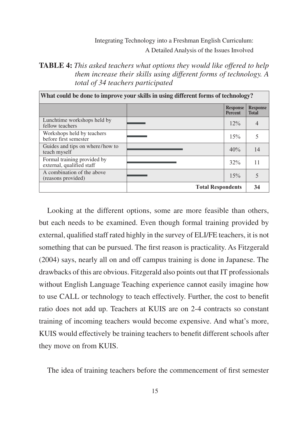# **TABLE 4:** *This asked teachers what options they would like offered to help them increase their skills using different forms of technology. A total of 34 teachers participated*

| What could be done to improve your skills in using different forms of technology? |                          |                                   |                                 |
|-----------------------------------------------------------------------------------|--------------------------|-----------------------------------|---------------------------------|
|                                                                                   |                          | <b>Response</b><br><b>Percent</b> | <b>Response</b><br><b>Total</b> |
| Lunchtime workshops held by<br>fellow teachers                                    |                          | $12\%$                            |                                 |
| Workshops held by teachers<br>before first semester                               |                          | 15%                               |                                 |
| Guides and tips on where/how to<br>teach myself                                   |                          | 40%                               | 14                              |
| Formal training provided by<br>external, qualified staff                          |                          | 32%                               | 11                              |
| A combination of the above<br>(reasons provided)                                  |                          | 15%                               |                                 |
|                                                                                   | <b>Total Respondents</b> |                                   | 34                              |

Looking at the different options, some are more feasible than others, but each needs to be examined. Even though formal training provided by external, qualified staff rated highly in the survey of ELI/FE teachers, it is not something that can be pursued. The first reason is practicality. As Fitzgerald (2004) says, nearly all on and off campus training is done in Japanese. The drawbacks of this are obvious. Fitzgerald also points out that IT professionals without English Language Teaching experience cannot easily imagine how to use CALL or technology to teach effectively. Further, the cost to benefit ratio does not add up. Teachers at KUIS are on 2-4 contracts so constant training of incoming teachers would become expensive. And what's more, KUIS would effectively be training teachers to benefit different schools after they move on from KUIS.

The idea of training teachers before the commencement of first semester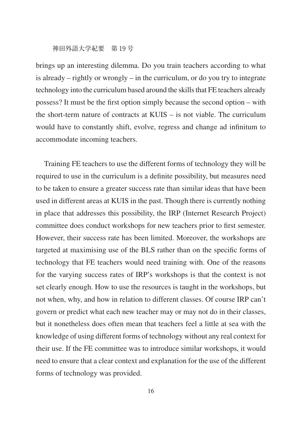brings up an interesting dilemma. Do you train teachers according to what is already – rightly or wrongly – in the curriculum, or do you try to integrate technology into the curriculum based around the skills that FE teachers already possess? It must be the first option simply because the second option – with the short-term nature of contracts at KUIS – is not viable. The curriculum would have to constantly shift, evolve, regress and change ad infinitum to accommodate incoming teachers.

Training FE teachers to use the different forms of technology they will be required to use in the curriculum is a definite possibility, but measures need to be taken to ensure a greater success rate than similar ideas that have been used in different areas at KUIS in the past. Though there is currently nothing in place that addresses this possibility, the IRP (Internet Research Project) committee does conduct workshops for new teachers prior to first semester. However, their success rate has been limited. Moreover, the workshops are targeted at maximising use of the BLS rather than on the specific forms of technology that FE teachers would need training with. One of the reasons for the varying success rates of IRP's workshops is that the context is not set clearly enough. How to use the resources is taught in the workshops, but not when, why, and how in relation to different classes. Of course IRP can't govern or predict what each new teacher may or may not do in their classes, but it nonetheless does often mean that teachers feel a little at sea with the knowledge of using different forms of technology without any real context for their use. If the FE committee was to introduce similar workshops, it would need to ensure that a clear context and explanation for the use of the different forms of technology was provided.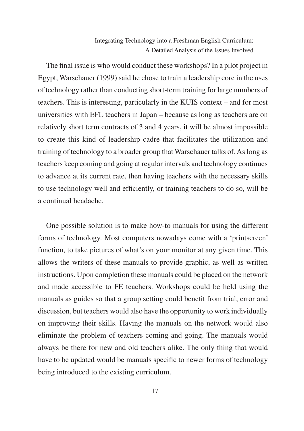The final issue is who would conduct these workshops? In a pilot project in Egypt, Warschauer (1999) said he chose to train a leadership core in the uses of technology rather than conducting short-term training for large numbers of teachers. This is interesting, particularly in the KUIS context – and for most universities with EFL teachers in Japan – because as long as teachers are on relatively short term contracts of 3 and 4 years, it will be almost impossible to create this kind of leadership cadre that facilitates the utilization and training of technology to a broader group that Warschauer talks of. As long as teachers keep coming and going at regular intervals and technology continues to advance at its current rate, then having teachers with the necessary skills to use technology well and efficiently, or training teachers to do so, will be a continual headache.

One possible solution is to make how-to manuals for using the different forms of technology. Most computers nowadays come with a 'printscreen' function, to take pictures of what's on your monitor at any given time. This allows the writers of these manuals to provide graphic, as well as written instructions. Upon completion these manuals could be placed on the network and made accessible to FE teachers. Workshops could be held using the manuals as guides so that a group setting could benefit from trial, error and discussion, but teachers would also have the opportunity to work individually on improving their skills. Having the manuals on the network would also eliminate the problem of teachers coming and going. The manuals would always be there for new and old teachers alike. The only thing that would have to be updated would be manuals specific to newer forms of technology being introduced to the existing curriculum.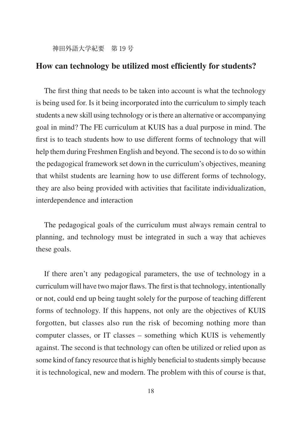# **How can technology be utilized most efficiently for students?**

The first thing that needs to be taken into account is what the technology is being used for. Is it being incorporated into the curriculum to simply teach students a new skill using technology or is there an alternative or accompanying goal in mind? The FE curriculum at KUIS has a dual purpose in mind. The first is to teach students how to use different forms of technology that will help them during Freshmen English and beyond. The second is to do so within the pedagogical framework set down in the curriculum's objectives, meaning that whilst students are learning how to use different forms of technology, they are also being provided with activities that facilitate individualization, interdependence and interaction

The pedagogical goals of the curriculum must always remain central to planning, and technology must be integrated in such a way that achieves these goals.

If there aren't any pedagogical parameters, the use of technology in a curriculum will have two major flaws. The first is that technology, intentionally or not, could end up being taught solely for the purpose of teaching different forms of technology. If this happens, not only are the objectives of KUIS forgotten, but classes also run the risk of becoming nothing more than computer classes, or IT classes – something which KUIS is vehemently against. The second is that technology can often be utilized or relied upon as some kind of fancy resource that is highly beneficial to students simply because it is technological, new and modern. The problem with this of course is that,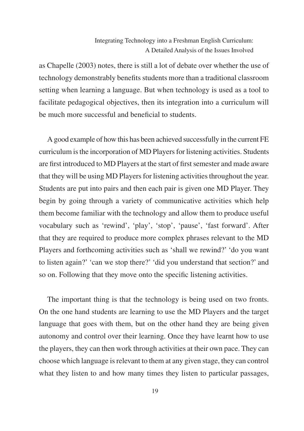as Chapelle (2003) notes, there is still a lot of debate over whether the use of technology demonstrably benefits students more than a traditional classroom setting when learning a language. But when technology is used as a tool to facilitate pedagogical objectives, then its integration into a curriculum will be much more successful and beneficial to students.

A good example of how this has been achieved successfully in the current FE curriculum is the incorporation of MD Players for listening activities. Students are first introduced to MD Players at the start of first semester and made aware that they will be using MD Players for listening activities throughout the year. Students are put into pairs and then each pair is given one MD Player. They begin by going through a variety of communicative activities which help them become familiar with the technology and allow them to produce useful vocabulary such as 'rewind', 'play', 'stop', 'pause', 'fast forward'. After that they are required to produce more complex phrases relevant to the MD Players and forthcoming activities such as 'shall we rewind?' 'do you want to listen again?' 'can we stop there?' 'did you understand that section?' and so on. Following that they move onto the specific listening activities.

The important thing is that the technology is being used on two fronts. On the one hand students are learning to use the MD Players and the target language that goes with them, but on the other hand they are being given autonomy and control over their learning. Once they have learnt how to use the players, they can then work through activities at their own pace. They can choose which language is relevant to them at any given stage, they can control what they listen to and how many times they listen to particular passages,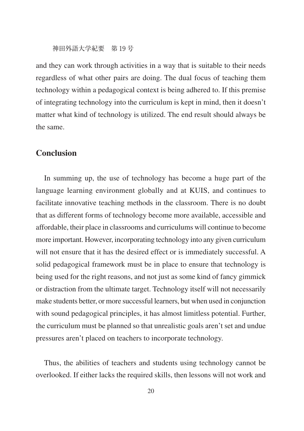and they can work through activities in a way that is suitable to their needs regardless of what other pairs are doing. The dual focus of teaching them technology within a pedagogical context is being adhered to. If this premise of integrating technology into the curriculum is kept in mind, then it doesn't matter what kind of technology is utilized. The end result should always be the same.

# **Conclusion**

In summing up, the use of technology has become a huge part of the language learning environment globally and at KUIS, and continues to facilitate innovative teaching methods in the classroom. There is no doubt that as different forms of technology become more available, accessible and affordable, their place in classrooms and curriculums will continue to become more important. However, incorporating technology into any given curriculum will not ensure that it has the desired effect or is immediately successful. A solid pedagogical framework must be in place to ensure that technology is being used for the right reasons, and not just as some kind of fancy gimmick or distraction from the ultimate target. Technology itself will not necessarily make students better, or more successful learners, but when used in conjunction with sound pedagogical principles, it has almost limitless potential. Further, the curriculum must be planned so that unrealistic goals aren't set and undue pressures aren't placed on teachers to incorporate technology.

Thus, the abilities of teachers and students using technology cannot be overlooked. If either lacks the required skills, then lessons will not work and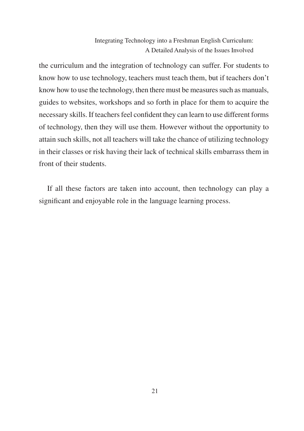the curriculum and the integration of technology can suffer. For students to know how to use technology, teachers must teach them, but if teachers don't know how to use the technology, then there must be measures such as manuals, guides to websites, workshops and so forth in place for them to acquire the necessary skills. If teachers feel confident they can learn to use different forms of technology, then they will use them. However without the opportunity to attain such skills, not all teachers will take the chance of utilizing technology in their classes or risk having their lack of technical skills embarrass them in front of their students.

If all these factors are taken into account, then technology can play a significant and enjoyable role in the language learning process.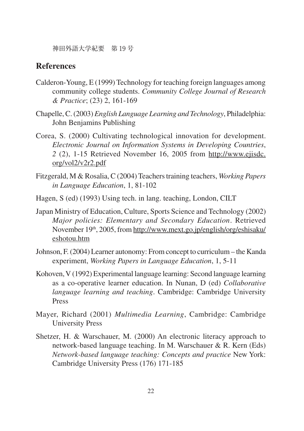# **References**

- Calderon-Young, E (1999) Technology for teaching foreign languages among community college students. *Community College Journal of Research & Practice*; (23) 2, 161-169
- Chapelle, C. (2003) *English Language Learning and Technology*, Philadelphia: John Benjamins Publishing
- Corea, S. (2000) Cultivating technological innovation for development. *Electronic Journal on Information Systems in Developing Countries*, *2* (2), 1-15 Retrieved November 16, 2005 from http://www.ejisdc. org/vol2/v2r2.pdf
- Fitzgerald, M & Rosalia, C (2004) Teachers training teachers, *Working Papers in Language Education*, 1, 81-102
- Hagen, S (ed) (1993) Using tech. in lang. teaching, London, CILT
- Japan Ministry of Education, Culture, Sports Science and Technology (2002) *Major policies: Elementary and Secondary Education*. Retrieved November 19th, 2005, from http://www.mext.go.jp/english/org/eshisaku/ eshotou.htm
- Johnson, F. (2004) Learner autonomy: From concept to curriculum the Kanda experiment, *Working Papers in Language Education*, 1, 5-11
- Kohoven, V (1992) Experimental language learning: Second language learning as a co-operative learner education. In Nunan, D (ed) *Collaborative language learning and teaching*. Cambridge: Cambridge University Press
- Mayer, Richard (2001) *Multimedia Learning*, Cambridge: Cambridge University Press
- Shetzer, H. & Warschauer, M. (2000) An electronic literacy approach to network-based language teaching. In M. Warschauer & R. Kern (Eds) *Network-based language teaching: Concepts and practice* New York: Cambridge University Press (176) 171-185